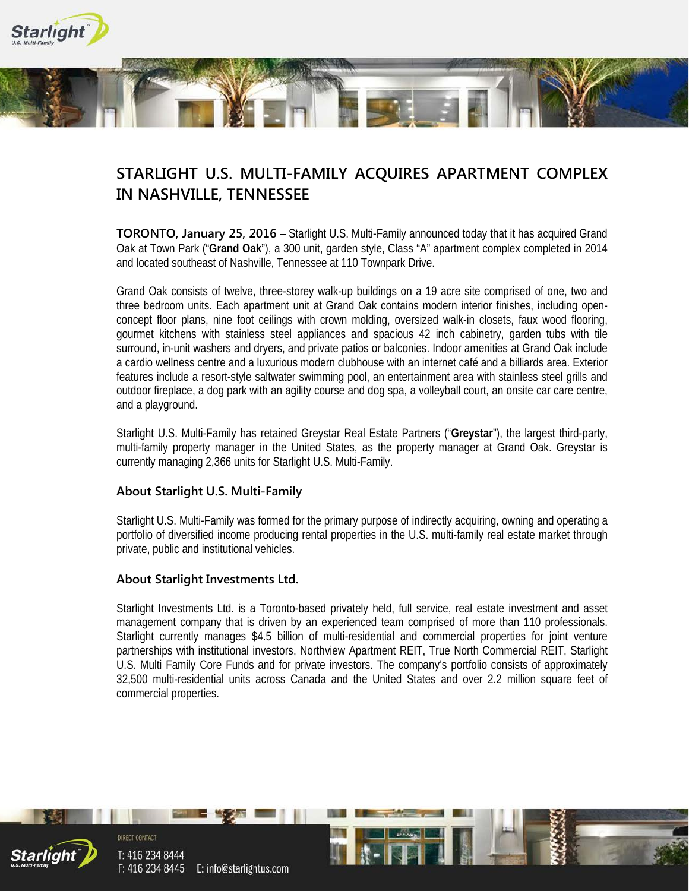

## **STARLIGHT U.S. MULTI-FAMILY ACQUIRES APARTMENT COMPLEX IN NASHVILLE, TENNESSEE**

**TORONTO, January 25, 2016** – Starlight U.S. Multi-Family announced today that it has acquired Grand Oak at Town Park ("**Grand Oak**"), a 300 unit, garden style, Class "A" apartment complex completed in 2014 and located southeast of Nashville, Tennessee at 110 Townpark Drive.

Grand Oak consists of twelve, three-storey walk-up buildings on a 19 acre site comprised of one, two and three bedroom units. Each apartment unit at Grand Oak contains modern interior finishes, including openconcept floor plans, nine foot ceilings with crown molding, oversized walk-in closets, faux wood flooring, gourmet kitchens with stainless steel appliances and spacious 42 inch cabinetry, garden tubs with tile surround, in-unit washers and dryers, and private patios or balconies. Indoor amenities at Grand Oak include a cardio wellness centre and a luxurious modern clubhouse with an internet café and a billiards area. Exterior features include a resort-style saltwater swimming pool, an entertainment area with stainless steel grills and outdoor fireplace, a dog park with an agility course and dog spa, a volleyball court, an onsite car care centre, and a playground.

Starlight U.S. Multi-Family has retained Greystar Real Estate Partners ("**Greystar**"), the largest third-party, multi-family property manager in the United States, as the property manager at Grand Oak. Greystar is currently managing 2,366 units for Starlight U.S. Multi-Family.

## **About Starlight U.S. Multi-Family**

Starlight U.S. Multi-Family was formed for the primary purpose of indirectly acquiring, owning and operating a portfolio of diversified income producing rental properties in the U.S. multi-family real estate market through private, public and institutional vehicles.

## **About Starlight Investments Ltd.**

Starlight Investments Ltd. is a Toronto-based privately held, full service, real estate investment and asset management company that is driven by an experienced team comprised of more than 110 professionals. Starlight currently manages \$4.5 billion of multi-residential and commercial properties for joint venture partnerships with institutional investors, Northview Apartment REIT, True North Commercial REIT, Starlight U.S. Multi Family Core Funds and for private investors. The company's portfolio consists of approximately 32,500 multi-residential units across Canada and the United States and over 2.2 million square feet of commercial properties.



T: 416 234 8444 F: 416 234 8445 E: info@starlightus.com

DIRECT CONTACT